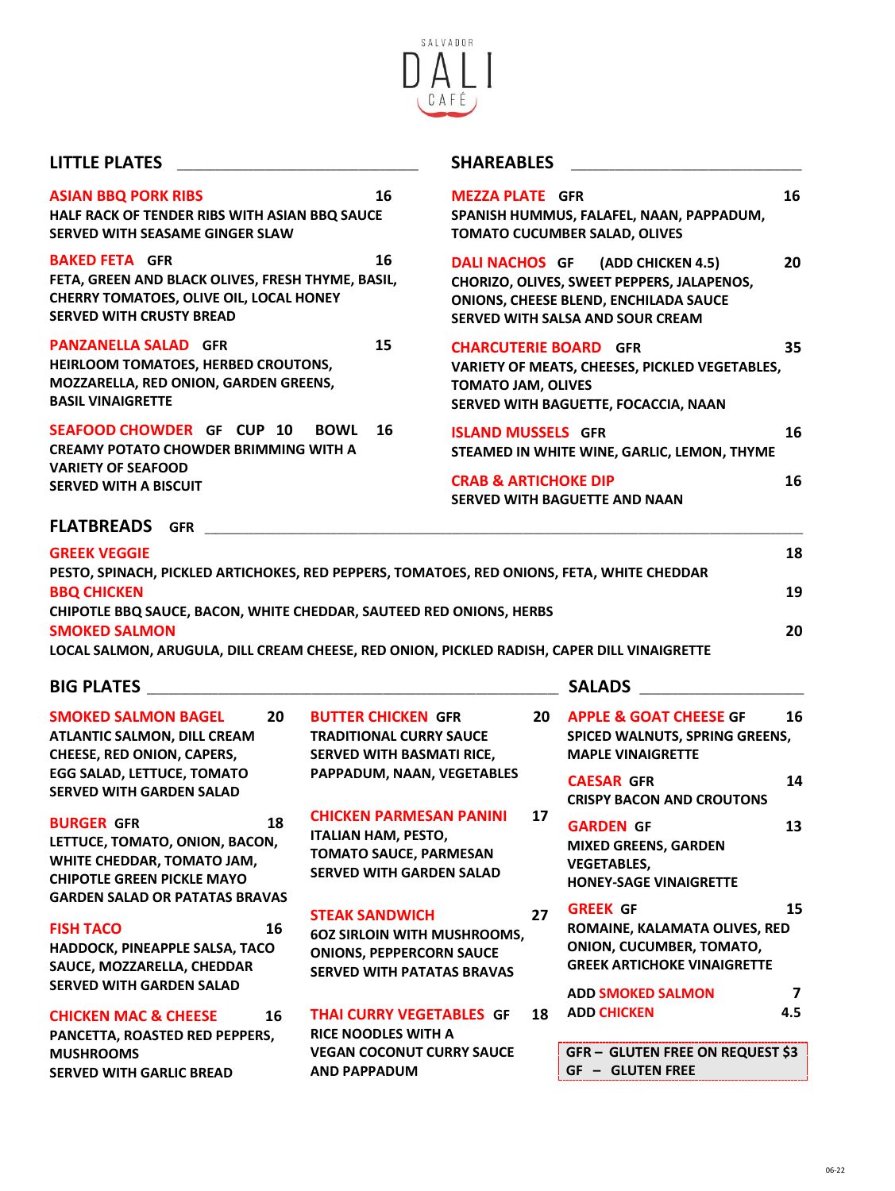

**LITTLE PLATES** \_\_\_\_\_\_\_\_\_\_\_\_\_\_\_\_\_\_\_\_\_\_\_\_\_\_\_\_\_\_\_\_\_\_\_\_\_\_\_\_\_\_\_\_ **SHAREABLES** \_\_\_\_\_\_\_\_\_\_\_\_\_\_\_\_\_\_\_\_\_\_\_\_\_\_\_\_\_\_\_\_\_\_\_\_\_\_\_\_\_\_

| <b>ASIAN BBQ PORK RIBS</b><br>HALF RACK OF TENDER RIBS WITH ASIAN BBQ SAUCE<br><b>SERVED WITH SEASAME GINGER SLAW</b>                                        | 16 | <b>MFZZA PLATE GFR</b><br>SPANISH HUMMUS, FALAFEL, NAAN, PAPPADUM,<br><b>TOMATO CUCUMBER SALAD, OLIVES</b>                                                  | 16       |  |  |  |
|--------------------------------------------------------------------------------------------------------------------------------------------------------------|----|-------------------------------------------------------------------------------------------------------------------------------------------------------------|----------|--|--|--|
| <b>BAKED FETA GFR</b><br>FETA, GREEN AND BLACK OLIVES, FRESH THYME, BASIL,<br>CHERRY TOMATOES, OLIVE OIL, LOCAL HONEY<br><b>SERVED WITH CRUSTY BREAD</b>     | 16 | DALI NACHOS GF (ADD CHICKEN 4.5)<br>CHORIZO, OLIVES, SWEET PEPPERS, JALAPENOS,<br>ONIONS, CHEESE BLEND, ENCHILADA SAUCE<br>SERVED WITH SALSA AND SOUR CREAM | 20       |  |  |  |
| <b>PANZANELLA SALAD GFR</b><br>HEIRLOOM TOMATOES, HERBED CROUTONS,<br>MOZZARELLA, RED ONION, GARDEN GREENS,<br><b>BASIL VINAIGRETTE</b>                      | 15 | <b>CHARCUTERIE BOARD GFR</b><br>VARIETY OF MEATS, CHEESES, PICKLED VEGETABLES,<br><b>TOMATO JAM, OLIVES</b><br>SERVED WITH BAGUETTE, FOCACCIA, NAAN         | 35       |  |  |  |
| <b>SEAFOOD CHOWDER GF CUP 10</b><br><b>BOWL</b><br><b>CREAMY POTATO CHOWDER BRIMMING WITH A</b><br><b>VARIETY OF SEAFOOD</b><br><b>SERVED WITH A BISCUIT</b> | 16 | <b>ISLAND MUSSELS GFR</b><br>STEAMED IN WHITE WINE, GARLIC, LEMON, THYME<br><b>CRAB &amp; ARTICHOKE DIP</b><br><b>SERVED WITH BAGUETTE AND NAAN</b>         | 16<br>16 |  |  |  |
| <b>FLATBREADS</b><br><b>GFR</b>                                                                                                                              |    |                                                                                                                                                             |          |  |  |  |
| <b>GREEK VEGGIE</b><br>PESTO, SPINACH, PICKLED ARTICHOKES, RED PEPPERS, TOMATOES, RED ONIONS, FETA, WHITE CHEDDAR                                            |    |                                                                                                                                                             |          |  |  |  |
| <b>BBQ CHICKEN</b>                                                                                                                                           |    |                                                                                                                                                             |          |  |  |  |
| CHIPOTLE BBQ SAUCE, BACON, WHITE CHEDDAR, SAUTEED RED ONIONS, HERBS<br><b>SMOKED SALMON</b>                                                                  |    |                                                                                                                                                             |          |  |  |  |
| LOCAL SALMON, ARUGULA, DILL CREAM CHEESE, RED ONION, PICKLED RADISH, CAPER DILL VINAIGRETTE                                                                  |    |                                                                                                                                                             | 20       |  |  |  |

## **BIG PLATES** \_\_\_\_\_\_\_\_\_\_\_\_\_\_\_\_\_\_\_\_\_\_\_\_\_\_\_\_\_\_\_\_\_\_\_\_\_\_\_\_\_\_\_\_\_\_\_\_\_\_\_\_\_\_\_\_\_\_\_\_\_\_\_\_\_\_\_\_\_\_\_\_\_\_\_ **SALADS** \_\_\_\_\_\_\_\_\_\_\_\_\_\_\_\_\_\_\_\_\_\_\_\_\_\_\_\_\_\_

| <b>SMOKED SALMON BAGEL</b><br>20<br><b>ATLANTIC SALMON, DILL CREAM</b><br><b>CHEESE, RED ONION, CAPERS,</b><br><b>EGG SALAD, LETTUCE, TOMATO</b><br><b>SERVED WITH GARDEN SALAD</b> |    | <b>BUTTER CHICKEN GFR</b><br><b>TRADITIONAL CURRY SAUCE</b><br><b>SERVED WITH BASMATI RICE,</b><br>PAPPADUM, NAAN, VEGETABLES       |    | 16<br><b>APPLE &amp; GOAT CHEESE GF</b><br>SPICED WALNUTS, SPRING GREENS,<br><b>MAPLE VINAIGRETTE</b>                                                 |         |  |  |
|-------------------------------------------------------------------------------------------------------------------------------------------------------------------------------------|----|-------------------------------------------------------------------------------------------------------------------------------------|----|-------------------------------------------------------------------------------------------------------------------------------------------------------|---------|--|--|
|                                                                                                                                                                                     |    |                                                                                                                                     |    | <b>CAESAR GFR</b><br><b>CRISPY BACON AND CROUTONS</b>                                                                                                 | 14      |  |  |
| <b>BURGER GFR</b><br>LETTUCE, TOMATO, ONION, BACON,<br>WHITE CHEDDAR, TOMATO JAM,<br><b>CHIPOTLE GREEN PICKLE MAYO</b>                                                              | 18 | <b>CHICKEN PARMESAN PANINI</b><br><b>ITALIAN HAM, PESTO,</b><br><b>TOMATO SAUCE, PARMESAN</b><br><b>SERVED WITH GARDEN SALAD</b>    | 17 | <b>GARDEN GF</b><br><b>MIXED GREENS, GARDEN</b><br><b>VEGETABLES,</b><br><b>HONEY-SAGE VINAIGRETTE</b>                                                | 13      |  |  |
| <b>GARDEN SALAD OR PATATAS BRAVAS</b><br><b>FISH TACO</b><br>HADDOCK, PINEAPPLE SALSA, TACO<br>SAUCE, MOZZARELLA, CHEDDAR<br><b>SERVED WITH GARDEN SALAD</b>                        | 16 | <b>STEAK SANDWICH</b><br><b>60Z SIRLOIN WITH MUSHROOMS,</b><br><b>ONIONS, PEPPERCORN SAUCE</b><br><b>SERVED WITH PATATAS BRAVAS</b> | 27 | <b>GREEK GF</b><br>ROMAINE, KALAMATA OLIVES, RED<br><b>ONION, CUCUMBER, TOMATO,</b><br><b>GREEK ARTICHOKE VINAIGRETTE</b><br><b>ADD SMOKED SALMON</b> | 15<br>7 |  |  |
| <b>CHICKEN MAC &amp; CHEESE</b><br>PANCETTA, ROASTED RED PEPPERS,                                                                                                                   | 16 | <b>THAI CURRY VEGETABLES GF</b><br><b>RICE NOODLES WITH A</b>                                                                       | 18 | <b>ADD CHICKEN</b>                                                                                                                                    | 4.5     |  |  |
| <b>MUSHROOMS</b><br><b>SERVED WITH GARLIC BREAD</b>                                                                                                                                 |    | <b>VEGAN COCONUT CURRY SAUCE</b><br><b>AND PAPPADUM</b>                                                                             |    | <b>GFR- GLUTEN FREE ON REQUEST \$3</b><br><b>GLUTEN FREE</b><br>$GF -$                                                                                |         |  |  |